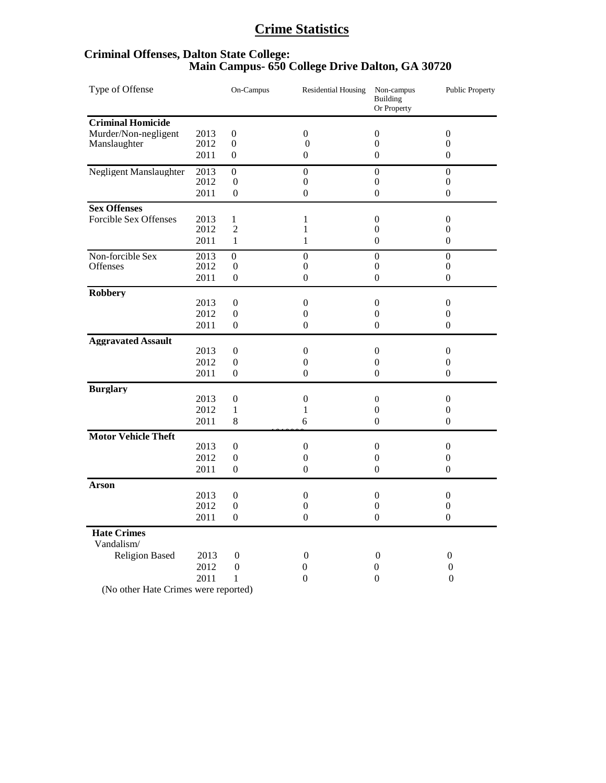# **Crime Statistics**

# **Criminal Offenses, Dalton State College: Main Campus- 650 College Drive Dalton, GA 30720**

| Type of Offense                  |      | On-Campus        | <b>Residential Housing</b> | Non-campus<br><b>Building</b><br>Or Property | <b>Public Property</b> |
|----------------------------------|------|------------------|----------------------------|----------------------------------------------|------------------------|
| <b>Criminal Homicide</b>         |      |                  |                            |                                              |                        |
| Murder/Non-negligent             | 2013 | $\boldsymbol{0}$ | $\theta$                   | $\boldsymbol{0}$                             | $\theta$               |
| Manslaughter                     | 2012 | $\boldsymbol{0}$ | $\boldsymbol{0}$           | $\boldsymbol{0}$                             | $\boldsymbol{0}$       |
|                                  | 2011 | $\overline{0}$   | $\theta$                   | $\theta$                                     | $\boldsymbol{0}$       |
| <b>Negligent Manslaughter</b>    | 2013 | $\boldsymbol{0}$ | $\boldsymbol{0}$           | $\boldsymbol{0}$                             | $\boldsymbol{0}$       |
|                                  | 2012 | $\boldsymbol{0}$ | $\boldsymbol{0}$           | $\boldsymbol{0}$                             | $\boldsymbol{0}$       |
|                                  | 2011 | $\overline{0}$   | $\theta$                   | $\theta$                                     | $\theta$               |
| <b>Sex Offenses</b>              |      |                  |                            |                                              |                        |
| <b>Forcible Sex Offenses</b>     | 2013 | 1                | 1                          | $\mathbf{0}$                                 | $\boldsymbol{0}$       |
|                                  | 2012 | $\overline{2}$   | 1                          | $\overline{0}$                               | $\theta$               |
|                                  | 2011 | $\mathbf{1}$     | $\mathbf{1}$               | $\boldsymbol{0}$                             | $\boldsymbol{0}$       |
| Non-forcible Sex                 | 2013 | $\boldsymbol{0}$ | $\mathbf{0}$               | $\mathbf{0}$                                 | $\boldsymbol{0}$       |
| Offenses                         | 2012 | 0                | $\boldsymbol{0}$           | $\boldsymbol{0}$                             | $\boldsymbol{0}$       |
|                                  | 2011 | $\boldsymbol{0}$ | $\boldsymbol{0}$           | $\boldsymbol{0}$                             | $\boldsymbol{0}$       |
| <b>Robbery</b>                   |      |                  |                            |                                              |                        |
|                                  | 2013 | $\overline{0}$   | $\boldsymbol{0}$           | $\boldsymbol{0}$                             | $\boldsymbol{0}$       |
|                                  | 2012 | $\overline{0}$   | $\theta$                   | $\theta$                                     | $\theta$               |
|                                  | 2011 | $\overline{0}$   | $\mathbf{0}$               | $\mathbf{0}$                                 | $\theta$               |
| <b>Aggravated Assault</b>        |      |                  |                            |                                              |                        |
|                                  | 2013 | $\overline{0}$   | $\theta$                   | $\theta$                                     | $\theta$               |
|                                  | 2012 | $\boldsymbol{0}$ | $\theta$                   | $\boldsymbol{0}$                             | $\theta$               |
|                                  | 2011 | $\Omega$         | $\theta$                   | $\theta$                                     | $\Omega$               |
| <b>Burglary</b>                  |      |                  |                            |                                              |                        |
|                                  | 2013 | $\mathbf{0}$     | $\theta$                   | $\boldsymbol{0}$                             | $\theta$               |
|                                  | 2012 | $\mathbf 1$      | 1                          | $\overline{0}$                               | $\theta$               |
|                                  | 2011 | 8                | 6                          | $\overline{0}$                               | $\theta$               |
| <b>Motor Vehicle Theft</b>       |      |                  |                            |                                              |                        |
|                                  | 2013 | $\overline{0}$   | $\boldsymbol{0}$           | $\boldsymbol{0}$                             | $\theta$               |
|                                  | 2012 | $\boldsymbol{0}$ | $\boldsymbol{0}$           | $\boldsymbol{0}$                             | $\boldsymbol{0}$       |
|                                  | 2011 | $\Omega$         | $\theta$                   | $\theta$                                     | $\theta$               |
| <b>Arson</b>                     |      |                  |                            |                                              |                        |
|                                  | 2013 | $\overline{0}$   | $\boldsymbol{0}$           | $\boldsymbol{0}$                             | $\theta$               |
|                                  | 2012 | $\overline{0}$   | $\theta$                   | $\overline{0}$                               | $\theta$               |
|                                  | 2011 | $\overline{0}$   | $\theta$                   | $\boldsymbol{0}$                             | $\theta$               |
| <b>Hate Crimes</b><br>Vandalism/ |      |                  |                            |                                              |                        |
| <b>Religion Based</b>            | 2013 | $\boldsymbol{0}$ | $\boldsymbol{0}$           | $\mathbf{0}$                                 | $\boldsymbol{0}$       |
|                                  | 2012 | $\boldsymbol{0}$ | 0                          | 0                                            | 0                      |
|                                  | 2011 | $\mathbf 1$      | $\overline{0}$             | $\boldsymbol{0}$                             | $\boldsymbol{0}$       |
|                                  |      |                  |                            |                                              |                        |

(No other Hate Crimes were reported)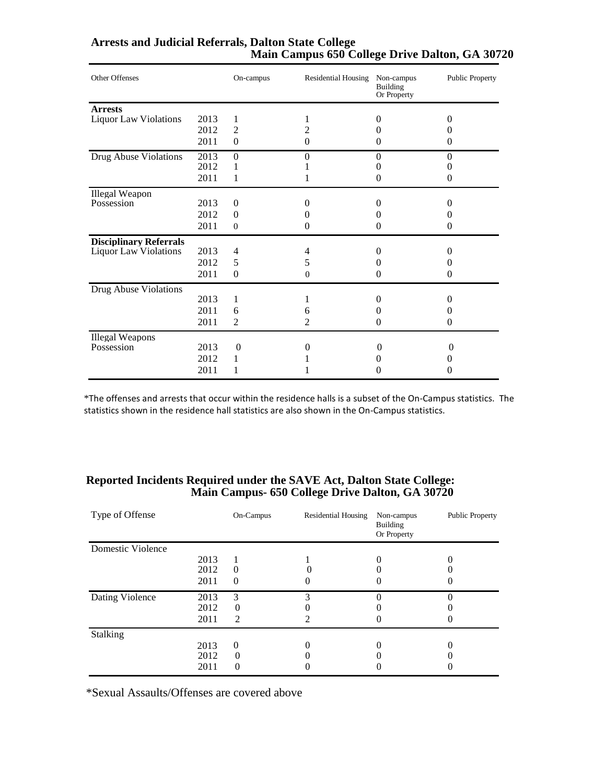| Arrests and Judicial Referrals, Dalton State College |                                                |  |  |
|------------------------------------------------------|------------------------------------------------|--|--|
|                                                      | Main Campus 650 College Drive Dalton, GA 30720 |  |  |

| Other Offenses                |      | On-campus        | <b>Residential Housing</b> | Non-campus<br>Building<br>Or Property | <b>Public Property</b> |
|-------------------------------|------|------------------|----------------------------|---------------------------------------|------------------------|
| <b>Arrests</b>                |      |                  |                            |                                       |                        |
| <b>Liquor Law Violations</b>  | 2013 | 1                |                            | $\theta$                              | $\Omega$               |
|                               | 2012 | $\overline{2}$   | 2                          | $\theta$                              | 0                      |
|                               | 2011 | $\mathbf{0}$     | 0                          | $\theta$                              | 0                      |
| Drug Abuse Violations         | 2013 | $\boldsymbol{0}$ | $\theta$                   | $\theta$                              | $\Omega$               |
|                               | 2012 | 1                |                            | 0                                     | $\mathbf{\Omega}$      |
|                               | 2011 | 1                |                            | $\theta$                              | $\Omega$               |
| <b>Illegal Weapon</b>         |      |                  |                            |                                       |                        |
| Possession                    | 2013 | $\mathbf{0}$     | $_{0}$                     | $\Omega$                              | $\Omega$               |
|                               | 2012 | $\Omega$         | $\mathbf{\Omega}$          | 0                                     | $\Omega$               |
|                               | 2011 | $\mathbf{0}$     | 0                          | 0                                     | $\Omega$               |
| <b>Disciplinary Referrals</b> |      |                  |                            |                                       |                        |
| <b>Liquor Law Violations</b>  | 2013 | 4                | 4                          | 0                                     | $\Omega$               |
|                               | 2012 | 5                | 5                          | 0                                     | 0                      |
|                               | 2011 | $\mathbf{0}$     | $\overline{0}$             | $\theta$                              | 0                      |
| Drug Abuse Violations         |      |                  |                            |                                       |                        |
|                               | 2013 | 1                |                            | 0                                     | $\Omega$               |
|                               | 2011 | 6                | 6                          | 0                                     | $\theta$               |
|                               | 2011 | $\overline{2}$   | 2                          | $\theta$                              | $\theta$               |
| <b>Illegal Weapons</b>        |      |                  |                            |                                       |                        |
| Possession                    | 2013 | $\theta$         | 0                          | 0                                     | $\Omega$               |
|                               | 2012 | 1                |                            | 0                                     | 0                      |
|                               | 2011 | 1                |                            | 0                                     | 0                      |

\*The offenses and arrests that occur within the residence halls is a subset of the On-Campus statistics. The statistics shown in the residence hall statistics are also shown in the On-Campus statistics.

#### **Reported Incidents Required under the SAVE Act, Dalton State College: Main Campus- 650 College Drive Dalton, GA 30720**

| Type of Offense   |      | On-Campus      | <b>Residential Housing</b> | Non-campus<br><b>Building</b><br>Or Property | <b>Public Property</b> |
|-------------------|------|----------------|----------------------------|----------------------------------------------|------------------------|
| Domestic Violence |      |                |                            |                                              |                        |
|                   | 2013 |                |                            |                                              |                        |
|                   | 2012 | $\overline{0}$ |                            |                                              |                        |
|                   | 2011 | $\theta$       |                            |                                              |                        |
| Dating Violence   | 2013 | 3              | 2                          |                                              |                        |
|                   | 2012 | $\Omega$       |                            |                                              |                        |
|                   | 2011 | $\mathfrak{D}$ |                            |                                              |                        |
| <b>Stalking</b>   |      |                |                            |                                              |                        |
|                   | 2013 | $\theta$       |                            |                                              |                        |
|                   | 2012 | $\Omega$       |                            |                                              |                        |
|                   | 2011 | $\Omega$       |                            |                                              |                        |

\*Sexual Assaults/Offenses are covered above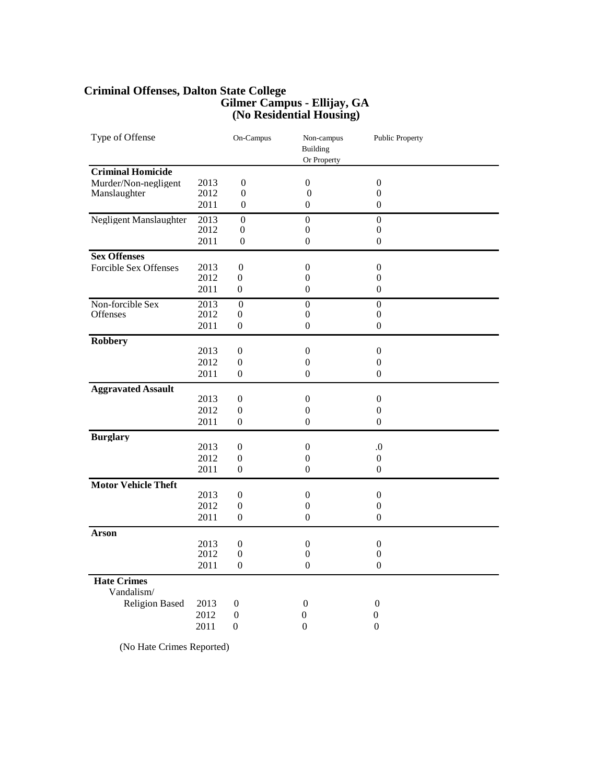#### **Criminal Offenses, Dalton State College Gilmer Campus - Ellijay, GA (No Residential Housing)**

| Type of Offense                  |      | On-Campus        | Non-campus<br>Building<br>Or Property | Public Property  |  |
|----------------------------------|------|------------------|---------------------------------------|------------------|--|
| <b>Criminal Homicide</b>         |      |                  |                                       |                  |  |
| Murder/Non-negligent             | 2013 | $\boldsymbol{0}$ | $\boldsymbol{0}$                      | $\boldsymbol{0}$ |  |
| Manslaughter                     | 2012 | $\boldsymbol{0}$ | $\boldsymbol{0}$                      | $\boldsymbol{0}$ |  |
|                                  | 2011 | $\boldsymbol{0}$ | $\boldsymbol{0}$                      | $\theta$         |  |
| Negligent Manslaughter           | 2013 | $\boldsymbol{0}$ | $\boldsymbol{0}$                      | $\boldsymbol{0}$ |  |
|                                  | 2012 | $\boldsymbol{0}$ | $\overline{0}$                        | $\theta$         |  |
|                                  | 2011 | $\boldsymbol{0}$ | $\boldsymbol{0}$                      | $\boldsymbol{0}$ |  |
| <b>Sex Offenses</b>              |      |                  |                                       |                  |  |
| <b>Forcible Sex Offenses</b>     | 2013 | $\boldsymbol{0}$ | $\theta$                              | $\theta$         |  |
|                                  | 2012 | $\overline{0}$   | $\overline{0}$                        | $\theta$         |  |
|                                  | 2011 | $\boldsymbol{0}$ | $\boldsymbol{0}$                      | $\theta$         |  |
| Non-forcible Sex                 | 2013 | $\boldsymbol{0}$ | $\boldsymbol{0}$                      | $\Omega$         |  |
| <b>Offenses</b>                  | 2012 | $\boldsymbol{0}$ | $\overline{0}$                        | $\theta$         |  |
|                                  | 2011 | $\boldsymbol{0}$ | $\boldsymbol{0}$                      | $\boldsymbol{0}$ |  |
| <b>Robbery</b>                   |      |                  |                                       |                  |  |
|                                  | 2013 | $\overline{0}$   | $\theta$                              | $\theta$         |  |
|                                  | 2012 | $\boldsymbol{0}$ | $\boldsymbol{0}$                      | $\boldsymbol{0}$ |  |
|                                  | 2011 | $\boldsymbol{0}$ | $\overline{0}$                        | $\theta$         |  |
| <b>Aggravated Assault</b>        |      |                  |                                       |                  |  |
|                                  | 2013 | $\boldsymbol{0}$ | $\boldsymbol{0}$                      | $\boldsymbol{0}$ |  |
|                                  | 2012 | $\boldsymbol{0}$ | $\boldsymbol{0}$                      | $\boldsymbol{0}$ |  |
|                                  | 2011 | $\boldsymbol{0}$ | $\theta$                              | $\Omega$         |  |
| <b>Burglary</b>                  |      |                  |                                       |                  |  |
|                                  | 2013 | $\boldsymbol{0}$ | $\boldsymbol{0}$                      | $\cdot$          |  |
|                                  | 2012 | $\boldsymbol{0}$ | $\boldsymbol{0}$                      | $\boldsymbol{0}$ |  |
|                                  | 2011 | $\boldsymbol{0}$ | $\overline{0}$                        | $\overline{0}$   |  |
| <b>Motor Vehicle Theft</b>       |      |                  |                                       |                  |  |
|                                  | 2013 | $\overline{0}$   | $\theta$                              | $\theta$         |  |
|                                  | 2012 | $\boldsymbol{0}$ | $\boldsymbol{0}$                      | $\boldsymbol{0}$ |  |
|                                  | 2011 | $\overline{0}$   | $\mathbf{0}$                          | $\overline{0}$   |  |
| <b>Arson</b>                     |      |                  |                                       |                  |  |
|                                  | 2013 | $\boldsymbol{0}$ | $\boldsymbol{0}$                      | $\boldsymbol{0}$ |  |
|                                  | 2012 | $\boldsymbol{0}$ | $\boldsymbol{0}$                      | $\boldsymbol{0}$ |  |
|                                  | 2011 | $\boldsymbol{0}$ | $\boldsymbol{0}$                      | $\boldsymbol{0}$ |  |
| <b>Hate Crimes</b><br>Vandalism/ |      |                  |                                       |                  |  |
| <b>Religion Based</b>            | 2013 | $\boldsymbol{0}$ | 0                                     | $\boldsymbol{0}$ |  |
|                                  | 2012 | $\boldsymbol{0}$ | 0                                     | 0                |  |
|                                  | 2011 | $\overline{0}$   | $\Omega$                              | $\overline{0}$   |  |

(No Hate Crimes Reported)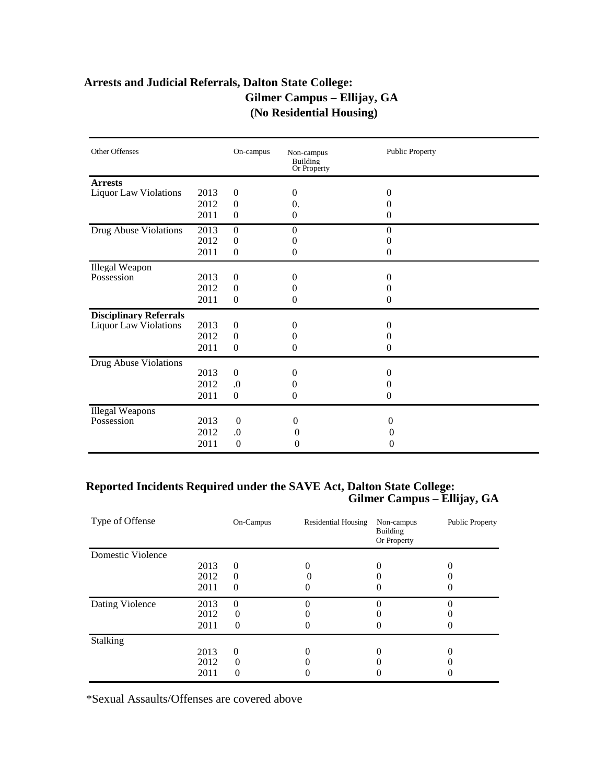# **Arrests and Judicial Referrals, Dalton State College: Gilmer Campus – Ellijay, GA (No Residential Housing)**

| Other Offenses                |      | On-campus        | Non-campus<br>Building<br>Or Property | <b>Public Property</b> |
|-------------------------------|------|------------------|---------------------------------------|------------------------|
| <b>Arrests</b>                |      |                  |                                       |                        |
| <b>Liquor Law Violations</b>  | 2013 | $\mathbf{0}$     | 0                                     | $\Omega$               |
|                               | 2012 | $\boldsymbol{0}$ | 0.                                    | 0                      |
|                               | 2011 | $\boldsymbol{0}$ | $\boldsymbol{0}$                      | 0                      |
| Drug Abuse Violations         | 2013 | $\mathbf{0}$     | $\overline{0}$                        | $\Omega$               |
|                               | 2012 | $\boldsymbol{0}$ | 0                                     | 0                      |
|                               | 2011 | $\boldsymbol{0}$ | 0                                     | $\mathbf{0}$           |
| Illegal Weapon                |      |                  |                                       |                        |
| Possession                    | 2013 | $\mathbf{0}$     | 0                                     | $\Omega$               |
|                               | 2012 | $\boldsymbol{0}$ | 0                                     | $_{0}$                 |
|                               | 2011 | $\boldsymbol{0}$ | 0                                     | $\mathbf{0}$           |
| <b>Disciplinary Referrals</b> |      |                  |                                       |                        |
| <b>Liquor Law Violations</b>  | 2013 | $\boldsymbol{0}$ | 0                                     | $\Omega$               |
|                               | 2012 | $\boldsymbol{0}$ | 0                                     | $_{0}$                 |
|                               | 2011 | $\boldsymbol{0}$ | 0                                     | $\mathbf{0}$           |
| Drug Abuse Violations         |      |                  |                                       |                        |
|                               | 2013 | $\boldsymbol{0}$ | 0                                     | $\Omega$               |
|                               | 2012 | $\cdot$          | 0                                     | $^{(1)}$               |
|                               | 2011 | $\boldsymbol{0}$ | 0                                     | $\mathbf{0}$           |
| <b>Illegal Weapons</b>        |      |                  |                                       |                        |
| Possession                    | 2013 | $\overline{0}$   | $\theta$                              | 0                      |
|                               | 2012 | $\cdot$          | $\boldsymbol{0}$                      | 0                      |
|                               | 2011 | $\mathbf{0}$     | 0                                     | $\theta$               |

# **Reported Incidents Required under the SAVE Act, Dalton State College: Gilmer Campus – Ellijay, GA**

| Type of Offense   |      | On-Campus | <b>Residential Housing</b> | Non-campus<br>Building<br>Or Property | <b>Public Property</b> |
|-------------------|------|-----------|----------------------------|---------------------------------------|------------------------|
| Domestic Violence |      |           |                            |                                       |                        |
|                   | 2013 | $\Omega$  |                            |                                       |                        |
|                   | 2012 | $\theta$  |                            |                                       |                        |
|                   | 2011 | $\theta$  |                            |                                       |                        |
| Dating Violence   | 2013 | $\theta$  |                            |                                       |                        |
|                   | 2012 | $\Omega$  |                            |                                       |                        |
|                   | 2011 | $\theta$  |                            |                                       |                        |
| <b>Stalking</b>   |      |           |                            |                                       |                        |
|                   | 2013 | $\theta$  |                            |                                       |                        |
|                   | 2012 | $\Omega$  |                            |                                       |                        |
|                   | 2011 | 0         |                            |                                       |                        |

\*Sexual Assaults/Offenses are covered above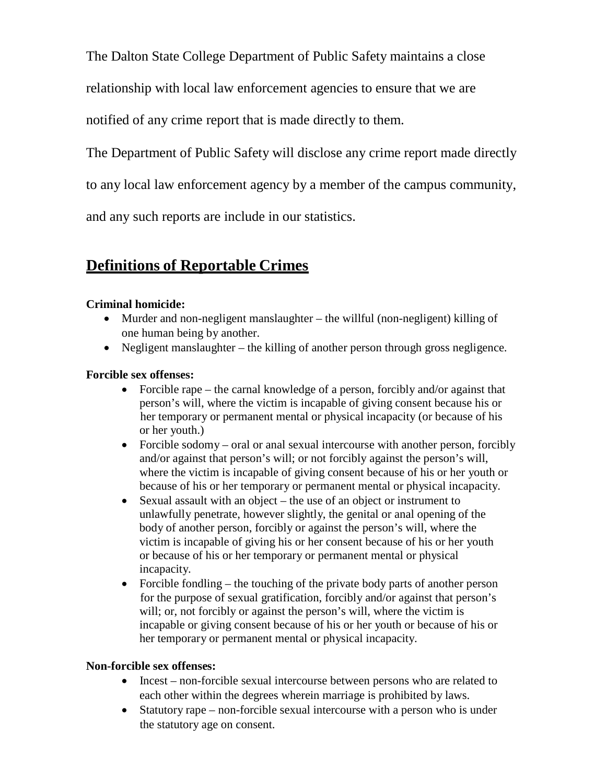The Dalton State College Department of Public Safety maintains a close

relationship with local law enforcement agencies to ensure that we are

notified of any crime report that is made directly to them.

The Department of Public Safety will disclose any crime report made directly

to any local law enforcement agency by a member of the campus community,

and any such reports are include in our statistics.

# **Definitions of Reportable Crimes**

# **Criminal homicide:**

- Murder and non-negligent manslaughter the willful (non-negligent) killing of one human being by another.
- Negligent manslaughter the killing of another person through gross negligence.

## **Forcible sex offenses:**

- Forcible rape the carnal knowledge of a person, forcibly and/or against that person's will, where the victim is incapable of giving consent because his or her temporary or permanent mental or physical incapacity (or because of his or her youth.)
- Forcible sodomy oral or anal sexual intercourse with another person, forcibly and/or against that person's will; or not forcibly against the person's will, where the victim is incapable of giving consent because of his or her youth or because of his or her temporary or permanent mental or physical incapacity.
- Sexual assault with an object the use of an object or instrument to unlawfully penetrate, however slightly, the genital or anal opening of the body of another person, forcibly or against the person's will, where the victim is incapable of giving his or her consent because of his or her youth or because of his or her temporary or permanent mental or physical incapacity.
- Forcible fondling  $-$  the touching of the private body parts of another person for the purpose of sexual gratification, forcibly and/or against that person's will; or, not forcibly or against the person's will, where the victim is incapable or giving consent because of his or her youth or because of his or her temporary or permanent mental or physical incapacity.

## **Non-forcible sex offenses:**

- Incest non-forcible sexual intercourse between persons who are related to each other within the degrees wherein marriage is prohibited by laws.
- Statutory rape non-forcible sexual intercourse with a person who is under the statutory age on consent.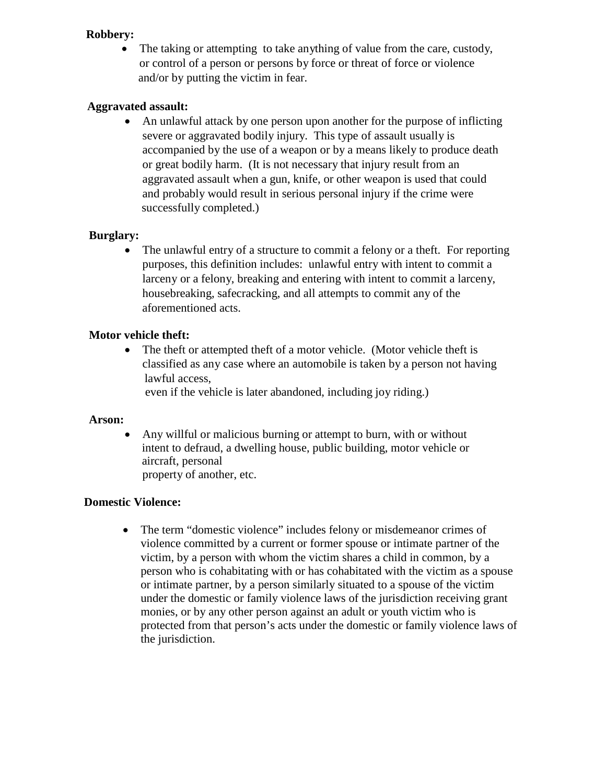#### **Robbery:**

The taking or attempting to take anything of value from the care, custody, or control of a person or persons by force or threat of force or violence and/or by putting the victim in fear.

## **Aggravated assault:**

• An unlawful attack by one person upon another for the purpose of inflicting severe or aggravated bodily injury. This type of assault usually is accompanied by the use of a weapon or by a means likely to produce death or great bodily harm. (It is not necessary that injury result from an aggravated assault when a gun, knife, or other weapon is used that could and probably would result in serious personal injury if the crime were successfully completed.)

#### **Burglary:**

• The unlawful entry of a structure to commit a felony or a theft. For reporting purposes, this definition includes: unlawful entry with intent to commit a larceny or a felony, breaking and entering with intent to commit a larceny, housebreaking, safecracking, and all attempts to commit any of the aforementioned acts.

#### **Motor vehicle theft:**

• The theft or attempted theft of a motor vehicle. (Motor vehicle theft is classified as any case where an automobile is taken by a person not having lawful access,

even if the vehicle is later abandoned, including joy riding.)

#### **Arson:**

• Any willful or malicious burning or attempt to burn, with or without intent to defraud, a dwelling house, public building, motor vehicle or aircraft, personal property of another, etc.

#### **Domestic Violence:**

• The term "domestic violence" includes felony or misdemeanor crimes of violence committed by a current or former spouse or intimate partner of the victim, by a person with whom the victim shares a child in common, by a person who is cohabitating with or has cohabitated with the victim as a spouse or intimate partner, by a person similarly situated to a spouse of the victim under the domestic or family violence laws of the jurisdiction receiving grant monies, or by any other person against an adult or youth victim who is protected from that person's acts under the domestic or family violence laws of the jurisdiction.